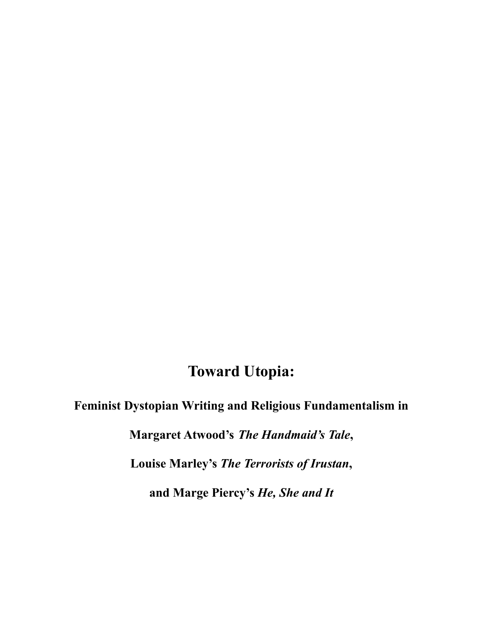# **Toward Utopia:**

**Feminist Dystopian Writing and Religious Fundamentalism in**

**Margaret Atwood's** *The Handmaid's Tale***,**

**Louise Marley's** *The Terrorists of Irustan***,**

**and Marge Piercy's** *He, She and It*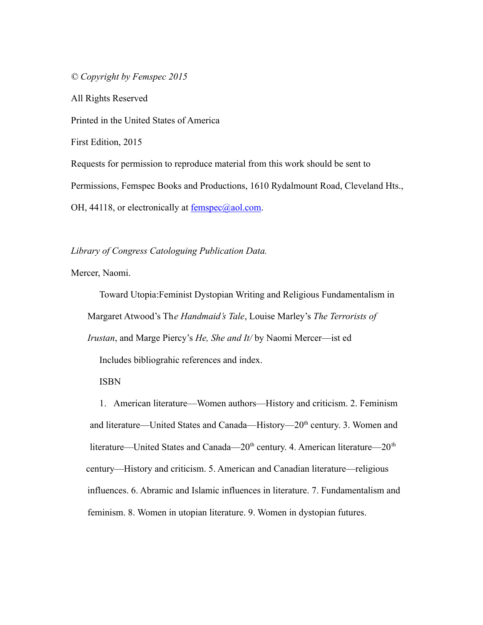*© Copyright by Femspec 2015*

All Rights Reserved

Printed in the United States of America

First Edition, 2015

Requests for permission to reproduce material from this work should be sent to Permissions, Femspec Books and Productions, 1610 Rydalmount Road, Cleveland Hts., OH, 44118, or electronically at  $f{emspec}$  ( $a$ ) and  $a$ .

### *Library of Congress Catologuing Publication Data.*

Mercer, Naomi.

Toward Utopia:Feminist Dystopian Writing and Religious Fundamentalism in Margaret Atwood's Th*e Handmaid's Tale*, Louise Marley's *The Terrorists of Irustan*, and Marge Piercy's *He, She and It/* by Naomi Mercer—ist ed Includes bibliograhic references and index.

ISBN

1. American literature—Women authors—History and criticism. 2. Feminism and literature—United States and Canada—History—20<sup>th</sup> century. 3. Women and literature—United States and Canada—20<sup>th</sup> century. 4. American literature—20<sup>th</sup> century—History and criticism. 5. American and Canadian literature—religious influences. 6. Abramic and Islamic influences in literature. 7. Fundamentalism and feminism. 8. Women in utopian literature. 9. Women in dystopian futures.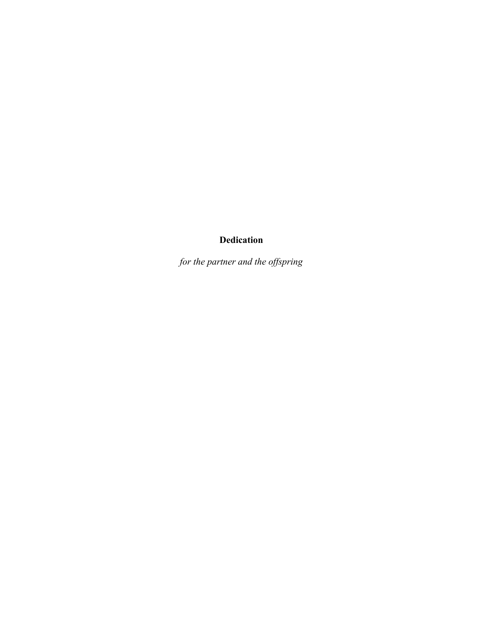### **Dedication**

*for the partner and the offspring*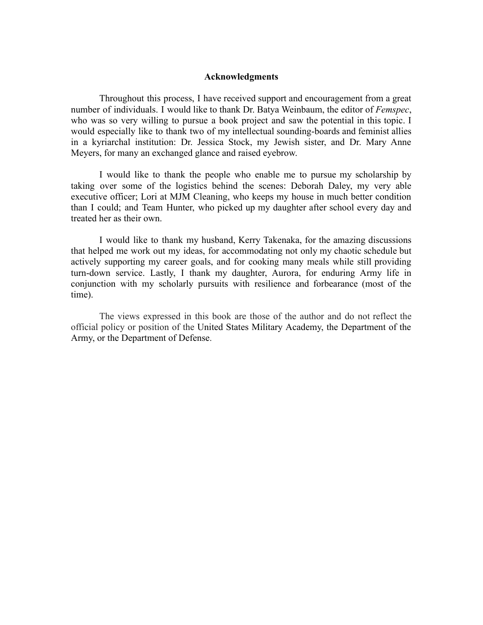### **Acknowledgments**

Throughout this process, I have received support and encouragement from a great number of individuals. I would like to thank Dr. Batya Weinbaum, the editor of *Femspec*, who was so very willing to pursue a book project and saw the potential in this topic. I would especially like to thank two of my intellectual sounding-boards and feminist allies in a kyriarchal institution: Dr. Jessica Stock, my Jewish sister, and Dr. Mary Anne Meyers, for many an exchanged glance and raised eyebrow.

I would like to thank the people who enable me to pursue my scholarship by taking over some of the logistics behind the scenes: Deborah Daley, my very able executive officer; Lori at MJM Cleaning, who keeps my house in much better condition than I could; and Team Hunter, who picked up my daughter after school every day and treated her as their own.

I would like to thank my husband, Kerry Takenaka, for the amazing discussions that helped me work out my ideas, for accommodating not only my chaotic schedule but actively supporting my career goals, and for cooking many meals while still providing turn-down service. Lastly, I thank my daughter, Aurora, for enduring Army life in conjunction with my scholarly pursuits with resilience and forbearance (most of the time).

The views expressed in this book are those of the author and do not reflect the official policy or position of the United States Military Academy, the Department of the Army, or the Department of Defense.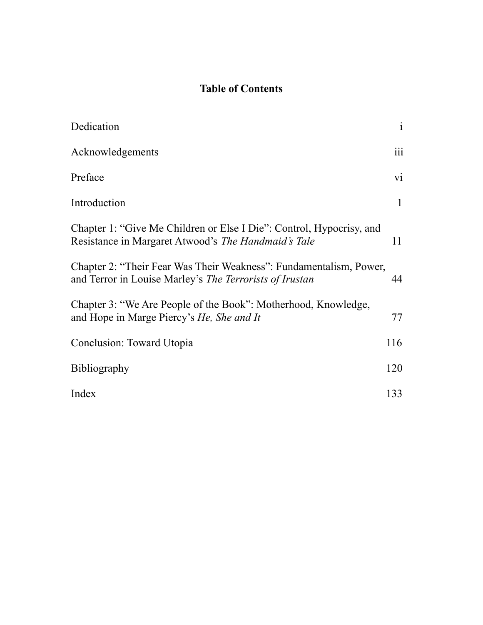## **Table of Contents**

| Dedication                                                                                                                           | $\mathbf{i}$     |
|--------------------------------------------------------------------------------------------------------------------------------------|------------------|
| Acknowledgements                                                                                                                     | $\overline{111}$ |
| Preface                                                                                                                              | $\overline{vi}$  |
| Introduction                                                                                                                         | $\mathbf{1}$     |
| Chapter 1: "Give Me Children or Else I Die": Control, Hypocrisy, and<br>Resistance in Margaret Atwood's The Handmaid's Tale          | 11               |
| Chapter 2: "Their Fear Was Their Weakness": Fundamentalism, Power,<br>and Terror in Louise Marley's <i>The Terrorists of Irustan</i> | 44               |
| Chapter 3: "We Are People of the Book": Motherhood, Knowledge,<br>and Hope in Marge Piercy's <i>He</i> , <i>She and It</i>           | 77               |
| Conclusion: Toward Utopia                                                                                                            | 116              |
| <b>Bibliography</b>                                                                                                                  | 120              |
| Index                                                                                                                                | 133              |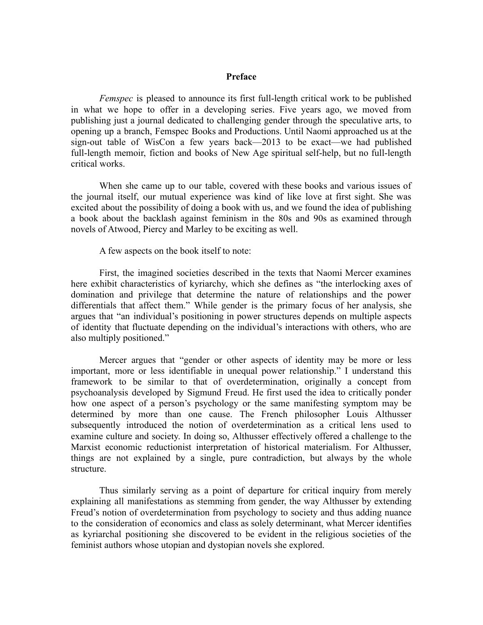### **Preface**

*Femspec* is pleased to announce its first full-length critical work to be published in what we hope to offer in a developing series. Five years ago, we moved from publishing just a journal dedicated to challenging gender through the speculative arts, to opening up a branch, Femspec Books and Productions. Until Naomi approached us at the sign-out table of WisCon a few years back—2013 to be exact—we had published full-length memoir, fiction and books of New Age spiritual self-help, but no full-length critical works.

When she came up to our table, covered with these books and various issues of the journal itself, our mutual experience was kind of like love at first sight. She was excited about the possibility of doing a book with us, and we found the idea of publishing a book about the backlash against feminism in the 80s and 90s as examined through novels of Atwood, Piercy and Marley to be exciting as well.

A few aspects on the book itself to note:

First, the imagined societies described in the texts that Naomi Mercer examines here exhibit characteristics of kyriarchy, which she defines as "the interlocking axes of domination and privilege that determine the nature of relationships and the power differentials that affect them." While gender is the primary focus of her analysis, she argues that "an individual's positioning in power structures depends on multiple aspects of identity that fluctuate depending on the individual's interactions with others, who are also multiply positioned."

Mercer argues that "gender or other aspects of identity may be more or less important, more or less identifiable in unequal power relationship." I understand this framework to be similar to that of overdetermination, originally a concept from psychoanalysis developed by Sigmund Freud. He first used the idea to critically ponder how one aspect of a person's psychology or the same manifesting symptom may be determined by more than one cause. The French philosopher Louis Althusser subsequently introduced the notion of overdetermination as a critical lens used to examine culture and society. In doing so, Althusser effectively offered a challenge to the Marxist economic reductionist interpretation of historical materialism. For Althusser, things are not explained by a single, pure contradiction, but always by the whole structure.

Thus similarly serving as a point of departure for critical inquiry from merely explaining all manifestations as stemming from gender, the way Althusser by extending Freud's notion of overdetermination from psychology to society and thus adding nuance to the consideration of economics and class as solely determinant, what Mercer identifies as kyriarchal positioning she discovered to be evident in the religious societies of the feminist authors whose utopian and dystopian novels she explored.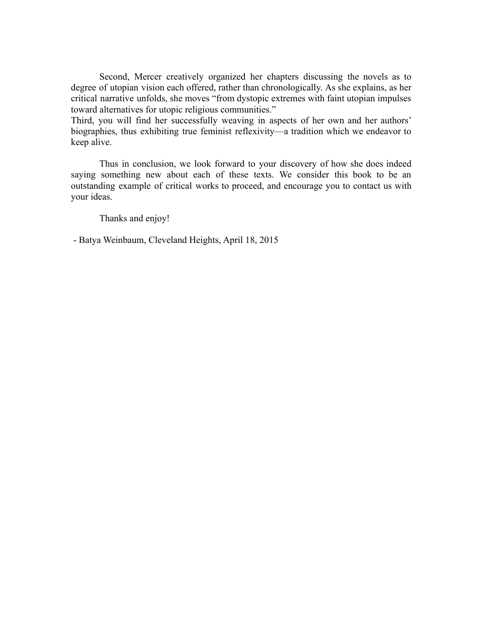Second, Mercer creatively organized her chapters discussing the novels as to degree of utopian vision each offered, rather than chronologically. As she explains, as her critical narrative unfolds, she moves "from dystopic extremes with faint utopian impulses toward alternatives for utopic religious communities."

Third, you will find her successfully weaving in aspects of her own and her authors' biographies, thus exhibiting true feminist reflexivity—a tradition which we endeavor to keep alive.

Thus in conclusion, we look forward to your discovery of how she does indeed saying something new about each of these texts. We consider this book to be an outstanding example of critical works to proceed, and encourage you to contact us with your ideas.

Thanks and enjoy!

- Batya Weinbaum, Cleveland Heights, April 18, 2015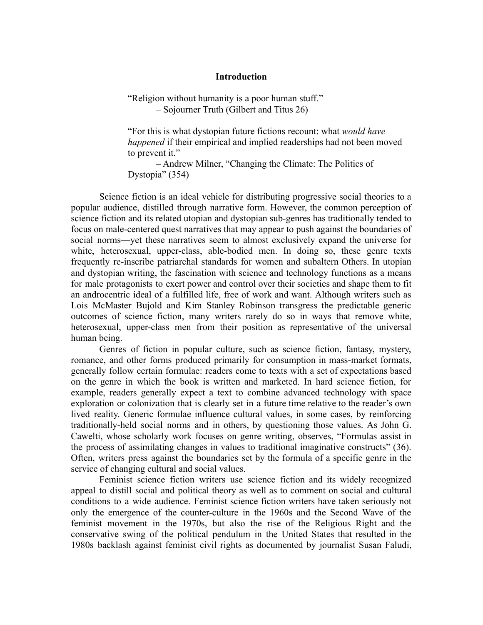### **Introduction**

"Religion without humanity is a poor human stuff." – Sojourner Truth (Gilbert and Titus 26)

"For this is what dystopian future fictions recount: what *would have happened* if their empirical and implied readerships had not been moved to prevent it."

– Andrew Milner, "Changing the Climate: The Politics of Dystopia" (354)

Science fiction is an ideal vehicle for distributing progressive social theories to a popular audience, distilled through narrative form. However, the common perception of science fiction and its related utopian and dystopian sub-genres has traditionally tended to focus on male-centered quest narratives that may appear to push against the boundaries of social norms—yet these narratives seem to almost exclusively expand the universe for white, heterosexual, upper-class, able-bodied men. In doing so, these genre texts frequently re-inscribe patriarchal standards for women and subaltern Others. In utopian and dystopian writing, the fascination with science and technology functions as a means for male protagonists to exert power and control over their societies and shape them to fit an androcentric ideal of a fulfilled life, free of work and want. Although writers such as Lois McMaster Bujold and Kim Stanley Robinson transgress the predictable generic outcomes of science fiction, many writers rarely do so in ways that remove white, heterosexual, upper-class men from their position as representative of the universal human being.

Genres of fiction in popular culture, such as science fiction, fantasy, mystery, romance, and other forms produced primarily for consumption in mass-market formats, generally follow certain formulae: readers come to texts with a set of expectations based on the genre in which the book is written and marketed. In hard science fiction, for example, readers generally expect a text to combine advanced technology with space exploration or colonization that is clearly set in a future time relative to the reader's own lived reality. Generic formulae influence cultural values, in some cases, by reinforcing traditionally-held social norms and in others, by questioning those values. As John G. Cawelti, whose scholarly work focuses on genre writing, observes, "Formulas assist in the process of assimilating changes in values to traditional imaginative constructs" (36). Often, writers press against the boundaries set by the formula of a specific genre in the service of changing cultural and social values.

Feminist science fiction writers use science fiction and its widely recognized appeal to distill social and political theory as well as to comment on social and cultural conditions to a wide audience. Feminist science fiction writers have taken seriously not only the emergence of the counter-culture in the 1960s and the Second Wave of the feminist movement in the 1970s, but also the rise of the Religious Right and the conservative swing of the political pendulum in the United States that resulted in the 1980s backlash against feminist civil rights as documented by journalist Susan Faludi,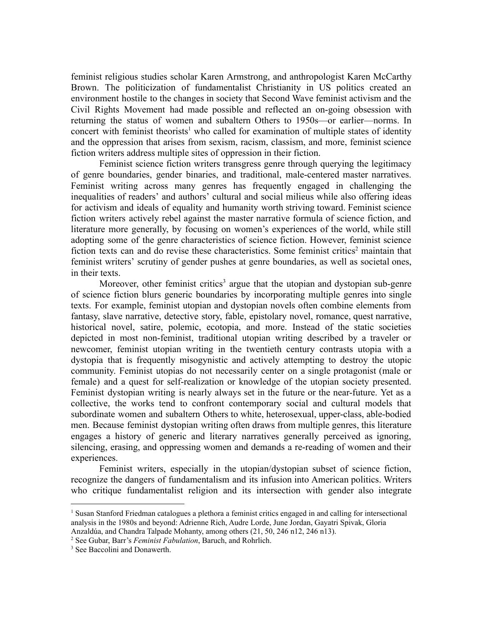feminist religious studies scholar Karen Armstrong, and anthropologist Karen McCarthy Brown. The politicization of fundamentalist Christianity in US politics created an environment hostile to the changes in society that Second Wave feminist activism and the Civil Rights Movement had made possible and reflected an on-going obsession with returning the status of women and subaltern Others to 1950s—or earlier—norms. In concert with feminist theorists<sup>1</sup> who called for examination of multiple states of identity and the oppression that arises from sexism, racism, classism, and more, feminist science fiction writers address multiple sites of oppression in their fiction.

Feminist science fiction writers transgress genre through querying the legitimacy of genre boundaries, gender binaries, and traditional, male-centered master narratives. Feminist writing across many genres has frequently engaged in challenging the inequalities of readers' and authors' cultural and social milieus while also offering ideas for activism and ideals of equality and humanity worth striving toward. Feminist science fiction writers actively rebel against the master narrative formula of science fiction, and literature more generally, by focusing on women's experiences of the world, while still adopting some of the genre characteristics of science fiction. However, feminist science fiction texts can and do revise these characteristics. Some feminist critics<sup>2</sup> maintain that feminist writers' scrutiny of gender pushes at genre boundaries, as well as societal ones, in their texts.

Moreover, other feminist critics<sup>3</sup> argue that the utopian and dystopian sub-genre of science fiction blurs generic boundaries by incorporating multiple genres into single texts. For example, feminist utopian and dystopian novels often combine elements from fantasy, slave narrative, detective story, fable, epistolary novel, romance, quest narrative, historical novel, satire, polemic, ecotopia, and more. Instead of the static societies depicted in most non-feminist, traditional utopian writing described by a traveler or newcomer, feminist utopian writing in the twentieth century contrasts utopia with a dystopia that is frequently misogynistic and actively attempting to destroy the utopic community. Feminist utopias do not necessarily center on a single protagonist (male or female) and a quest for self-realization or knowledge of the utopian society presented. Feminist dystopian writing is nearly always set in the future or the near-future. Yet as a collective, the works tend to confront contemporary social and cultural models that subordinate women and subaltern Others to white, heterosexual, upper-class, able-bodied men. Because feminist dystopian writing often draws from multiple genres, this literature engages a history of generic and literary narratives generally perceived as ignoring, silencing, erasing, and oppressing women and demands a re-reading of women and their experiences.

Feminist writers, especially in the utopian/dystopian subset of science fiction, recognize the dangers of fundamentalism and its infusion into American politics. Writers who critique fundamentalist religion and its intersection with gender also integrate

<sup>1</sup> Susan Stanford Friedman catalogues a plethora a feminist critics engaged in and calling for intersectional analysis in the 1980s and beyond: Adrienne Rich, Audre Lorde, June Jordan, Gayatri Spivak, Gloria Anzaldúa, and Chandra Talpade Mohanty, among others (21, 50, 246 n12, 246 n13).

<sup>2</sup> See Gubar, Barr's *Feminist Fabulation*, Baruch, and Rohrlich.

<sup>&</sup>lt;sup>3</sup> See Baccolini and Donawerth.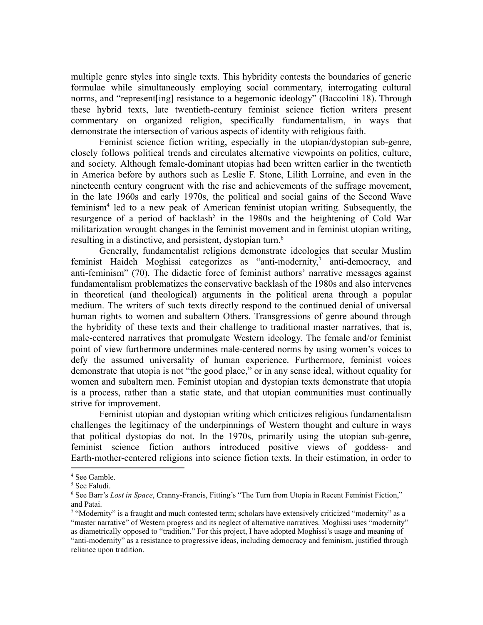multiple genre styles into single texts. This hybridity contests the boundaries of generic formulae while simultaneously employing social commentary, interrogating cultural norms, and "represent [ing] resistance to a hegemonic ideology" (Baccolini 18). Through these hybrid texts, late twentieth-century feminist science fiction writers present commentary on organized religion, specifically fundamentalism, in ways that demonstrate the intersection of various aspects of identity with religious faith.

Feminist science fiction writing, especially in the utopian/dystopian sub-genre, closely follows political trends and circulates alternative viewpoints on politics, culture, and society. Although female-dominant utopias had been written earlier in the twentieth in America before by authors such as Leslie F. Stone, Lilith Lorraine, and even in the nineteenth century congruent with the rise and achievements of the suffrage movement, in the late 1960s and early 1970s, the political and social gains of the Second Wave feminism<sup>4</sup> led to a new peak of American feminist utopian writing. Subsequently, the resurgence of a period of backlash<sup>5</sup> in the 1980s and the heightening of Cold War militarization wrought changes in the feminist movement and in feminist utopian writing, resulting in a distinctive, and persistent, dystopian turn.<sup>6</sup>

Generally, fundamentalist religions demonstrate ideologies that secular Muslim feminist Haideh Moghissi categorizes as "anti-modernity, <sup>7</sup> anti-democracy, and anti-feminism" (70). The didactic force of feminist authors' narrative messages against fundamentalism problematizes the conservative backlash of the 1980s and also intervenes in theoretical (and theological) arguments in the political arena through a popular medium. The writers of such texts directly respond to the continued denial of universal human rights to women and subaltern Others. Transgressions of genre abound through the hybridity of these texts and their challenge to traditional master narratives, that is, male-centered narratives that promulgate Western ideology. The female and/or feminist point of view furthermore undermines male-centered norms by using women's voices to defy the assumed universality of human experience. Furthermore, feminist voices demonstrate that utopia is not "the good place," or in any sense ideal, without equality for women and subaltern men. Feminist utopian and dystopian texts demonstrate that utopia is a process, rather than a static state, and that utopian communities must continually strive for improvement.

Feminist utopian and dystopian writing which criticizes religious fundamentalism challenges the legitimacy of the underpinnings of Western thought and culture in ways that political dystopias do not. In the 1970s, primarily using the utopian sub-genre, feminist science fiction authors introduced positive views of goddess- and Earth-mother-centered religions into science fiction texts. In their estimation, in order to

<sup>4</sup> See Gamble.

<sup>5</sup> See Faludi.

<sup>6</sup> See Barr's *Lost in Space*, Cranny-Francis, Fitting's "The Turn from Utopia in Recent Feminist Fiction," and Patai.

 $\frac{7}{1}$  "Modernity" is a fraught and much contested term; scholars have extensively criticized "modernity" as a "master narrative" of Western progress and its neglect of alternative narratives. Moghissi uses "modernity" as diametrically opposed to "tradition." For this project, I have adopted Moghissi's usage and meaning of "anti-modernity" as a resistance to progressive ideas, including democracy and feminism, justified through reliance upon tradition.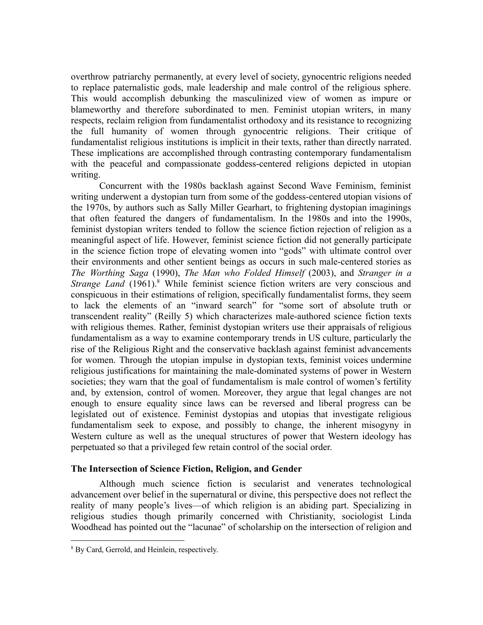overthrow patriarchy permanently, at every level of society, gynocentric religions needed to replace paternalistic gods, male leadership and male control of the religious sphere. This would accomplish debunking the masculinized view of women as impure or blameworthy and therefore subordinated to men. Feminist utopian writers, in many respects, reclaim religion from fundamentalist orthodoxy and its resistance to recognizing the full humanity of women through gynocentric religions. Their critique of fundamentalist religious institutions is implicit in their texts, rather than directly narrated. These implications are accomplished through contrasting contemporary fundamentalism with the peaceful and compassionate goddess-centered religions depicted in utopian writing.

Concurrent with the 1980s backlash against Second Wave Feminism, feminist writing underwent a dystopian turn from some of the goddess-centered utopian visions of the 1970s, by authors such as Sally Miller Gearhart, to frightening dystopian imaginings that often featured the dangers of fundamentalism. In the 1980s and into the 1990s, feminist dystopian writers tended to follow the science fiction rejection of religion as a meaningful aspect of life. However, feminist science fiction did not generally participate in the science fiction trope of elevating women into "gods" with ultimate control over their environments and other sentient beings as occurs in such male-centered stories as *The Worthing Saga* (1990), *The Man who Folded Himself* (2003), and *Stranger in a Strange Land* (1961).<sup>8</sup> While feminist science fiction writers are very conscious and conspicuous in their estimations of religion, specifically fundamentalist forms, they seem to lack the elements of an "inward search" for "some sort of absolute truth or transcendent reality" (Reilly 5) which characterizes male-authored science fiction texts with religious themes. Rather, feminist dystopian writers use their appraisals of religious fundamentalism as a way to examine contemporary trends in US culture, particularly the rise of the Religious Right and the conservative backlash against feminist advancements for women. Through the utopian impulse in dystopian texts, feminist voices undermine religious justifications for maintaining the male-dominated systems of power in Western societies; they warn that the goal of fundamentalism is male control of women's fertility and, by extension, control of women. Moreover, they argue that legal changes are not enough to ensure equality since laws can be reversed and liberal progress can be legislated out of existence. Feminist dystopias and utopias that investigate religious fundamentalism seek to expose, and possibly to change, the inherent misogyny in Western culture as well as the unequal structures of power that Western ideology has perpetuated so that a privileged few retain control of the social order.

### **The Intersection of Science Fiction, Religion, and Gender**

Although much science fiction is secularist and venerates technological advancement over belief in the supernatural or divine, this perspective does not reflect the reality of many people's lives—of which religion is an abiding part. Specializing in religious studies though primarily concerned with Christianity, sociologist Linda Woodhead has pointed out the "lacunae" of scholarship on the intersection of religion and

<sup>8</sup> By Card, Gerrold, and Heinlein, respectively.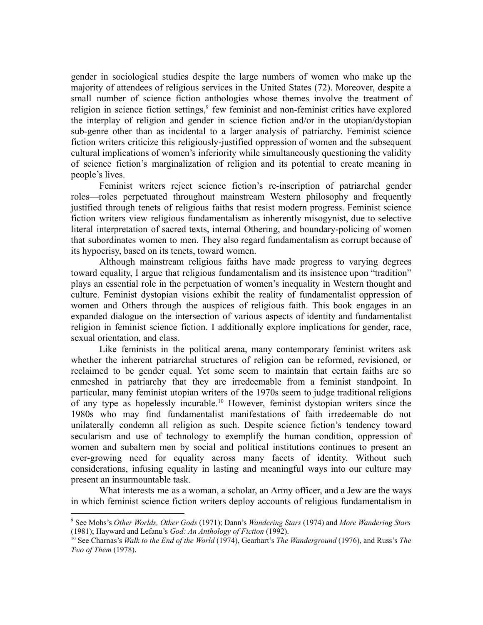gender in sociological studies despite the large numbers of women who make up the majority of attendees of religious services in the United States (72). Moreover, despite a small number of science fiction anthologies whose themes involve the treatment of religion in science fiction settings,<sup>9</sup> few feminist and non-feminist critics have explored the interplay of religion and gender in science fiction and/or in the utopian/dystopian sub-genre other than as incidental to a larger analysis of patriarchy. Feminist science fiction writers criticize this religiously-justified oppression of women and the subsequent cultural implications of women's inferiority while simultaneously questioning the validity of science fiction's marginalization of religion and its potential to create meaning in people's lives.

Feminist writers reject science fiction's re-inscription of patriarchal gender roles—roles perpetuated throughout mainstream Western philosophy and frequently justified through tenets of religious faiths that resist modern progress. Feminist science fiction writers view religious fundamentalism as inherently misogynist, due to selective literal interpretation of sacred texts, internal Othering, and boundary-policing of women that subordinates women to men. They also regard fundamentalism as corrupt because of its hypocrisy, based on its tenets, toward women.

Although mainstream religious faiths have made progress to varying degrees toward equality, I argue that religious fundamentalism and its insistence upon "tradition" plays an essential role in the perpetuation of women's inequality in Western thought and culture. Feminist dystopian visions exhibit the reality of fundamentalist oppression of women and Others through the auspices of religious faith. This book engages in an expanded dialogue on the intersection of various aspects of identity and fundamentalist religion in feminist science fiction. I additionally explore implications for gender, race, sexual orientation, and class.

Like feminists in the political arena, many contemporary feminist writers ask whether the inherent patriarchal structures of religion can be reformed, revisioned, or reclaimed to be gender equal. Yet some seem to maintain that certain faiths are so enmeshed in patriarchy that they are irredeemable from a feminist standpoint. In particular, many feminist utopian writers of the 1970s seem to judge traditional religions of any type as hopelessly incurable.<sup>10</sup> However, feminist dystopian writers since the 1980s who may find fundamentalist manifestations of faith irredeemable do not unilaterally condemn all religion as such. Despite science fiction's tendency toward secularism and use of technology to exemplify the human condition, oppression of women and subaltern men by social and political institutions continues to present an ever-growing need for equality across many facets of identity. Without such considerations, infusing equality in lasting and meaningful ways into our culture may present an insurmountable task.

What interests me as a woman, a scholar, an Army officer, and a Jew are the ways in which feminist science fiction writers deploy accounts of religious fundamentalism in

<sup>9</sup> See Mohs's *Other Worlds, Other Gods* (1971); Dann's *Wandering Stars* (1974) and *More Wandering Stars* (1981); Hayward and Lefanu's *God: An Anthology of Fiction* (1992).

<sup>10</sup> See Charnas's *Walk to the End of the World* (1974), Gearhart's *The Wanderground* (1976), and Russ's *The Two of Them* (1978).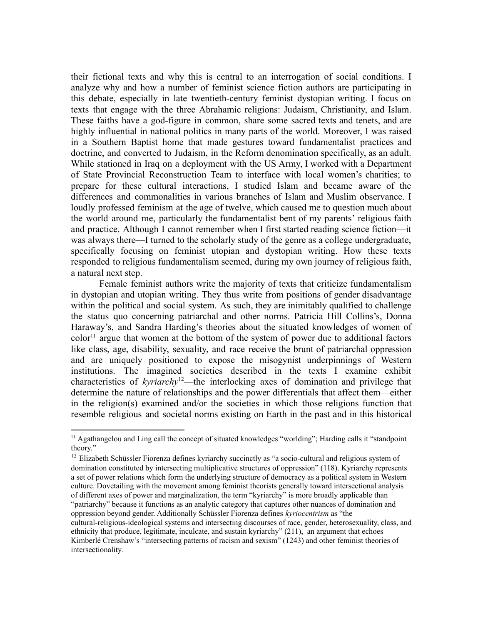their fictional texts and why this is central to an interrogation of social conditions. I analyze why and how a number of feminist science fiction authors are participating in this debate, especially in late twentieth-century feminist dystopian writing. I focus on texts that engage with the three Abrahamic religions: Judaism, Christianity, and Islam. These faiths have a god-figure in common, share some sacred texts and tenets, and are highly influential in national politics in many parts of the world. Moreover, I was raised in a Southern Baptist home that made gestures toward fundamentalist practices and doctrine, and converted to Judaism, in the Reform denomination specifically, as an adult. While stationed in Iraq on a deployment with the US Army, I worked with a Department of State Provincial Reconstruction Team to interface with local women's charities; to prepare for these cultural interactions, I studied Islam and became aware of the differences and commonalities in various branches of Islam and Muslim observance. I loudly professed feminism at the age of twelve, which caused me to question much about the world around me, particularly the fundamentalist bent of my parents' religious faith and practice. Although I cannot remember when I first started reading science fiction—it was always there—I turned to the scholarly study of the genre as a college undergraduate, specifically focusing on feminist utopian and dystopian writing. How these texts responded to religious fundamentalism seemed, during my own journey of religious faith, a natural next step.

Female feminist authors write the majority of texts that criticize fundamentalism in dystopian and utopian writing. They thus write from positions of gender disadvantage within the political and social system. As such, they are inimitably qualified to challenge the status quo concerning patriarchal and other norms. Patricia Hill Collins's, Donna Haraway's, and Sandra Harding's theories about the situated knowledges of women of  $color<sup>11</sup>$  argue that women at the bottom of the system of power due to additional factors like class, age, disability, sexuality, and race receive the brunt of patriarchal oppression and are uniquely positioned to expose the misogynist underpinnings of Western institutions. The imagined societies described in the texts I examine exhibit characteristics of *kyriarchy*<sup>12</sup>—the interlocking axes of domination and privilege that determine the nature of relationships and the power differentials that affect them—either in the religion(s) examined and/or the societies in which those religions function that resemble religious and societal norms existing on Earth in the past and in this historical

<sup>12</sup> Elizabeth Schüssler Fiorenza defines kyriarchy succinctly as "a socio-cultural and religious system of domination constituted by intersecting multiplicative structures of oppression" (118). Kyriarchy represents a set of power relations which form the underlying structure of democracy as a political system in Western culture. Dovetailing with the movement among feminist theorists generally toward intersectional analysis of different axes of power and marginalization, the term "kyriarchy" is more broadly applicable than "patriarchy" because it functions as an analytic category that captures other nuances of domination and oppression beyond gender. Additionally Schüssler Fiorenza defines *kyriocentrism* as "the cultural-religious-ideological systems and intersecting discourses of race, gender, heterosexuality, class, and ethnicity that produce, legitimate, inculcate, and sustain kyriarchy" (211), an argument that echoes Kimberlé Crenshaw's "intersecting patterns of racism and sexism" (1243) and other feminist theories of intersectionality.

<sup>&</sup>lt;sup>11</sup> Agathangelou and Ling call the concept of situated knowledges "worlding"; Harding calls it "standpoint theory."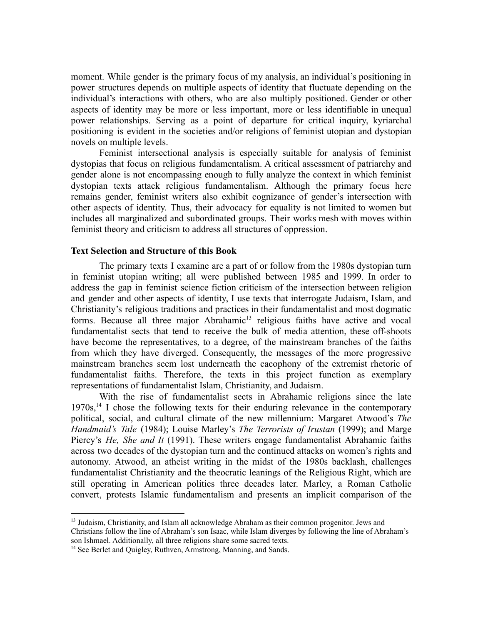moment. While gender is the primary focus of my analysis, an individual's positioning in power structures depends on multiple aspects of identity that fluctuate depending on the individual's interactions with others, who are also multiply positioned. Gender or other aspects of identity may be more or less important, more or less identifiable in unequal power relationships. Serving as a point of departure for critical inquiry, kyriarchal positioning is evident in the societies and/or religions of feminist utopian and dystopian novels on multiple levels.

Feminist intersectional analysis is especially suitable for analysis of feminist dystopias that focus on religious fundamentalism. A critical assessment of patriarchy and gender alone is not encompassing enough to fully analyze the context in which feminist dystopian texts attack religious fundamentalism. Although the primary focus here remains gender, feminist writers also exhibit cognizance of gender's intersection with other aspects of identity. Thus, their advocacy for equality is not limited to women but includes all marginalized and subordinated groups. Their works mesh with moves within feminist theory and criticism to address all structures of oppression.

### **Text Selection and Structure of this Book**

The primary texts I examine are a part of or follow from the 1980s dystopian turn in feminist utopian writing; all were published between 1985 and 1999. In order to address the gap in feminist science fiction criticism of the intersection between religion and gender and other aspects of identity, I use texts that interrogate Judaism, Islam, and Christianity's religious traditions and practices in their fundamentalist and most dogmatic forms. Because all three major Abrahamic<sup>13</sup> religious faiths have active and vocal fundamentalist sects that tend to receive the bulk of media attention, these off-shoots have become the representatives, to a degree, of the mainstream branches of the faiths from which they have diverged. Consequently, the messages of the more progressive mainstream branches seem lost underneath the cacophony of the extremist rhetoric of fundamentalist faiths. Therefore, the texts in this project function as exemplary representations of fundamentalist Islam, Christianity, and Judaism.

With the rise of fundamentalist sects in Abrahamic religions since the late 1970s,<sup>14</sup> I chose the following texts for their enduring relevance in the contemporary political, social, and cultural climate of the new millennium: Margaret Atwood's *The Handmaid's Tale* (1984); Louise Marley's *The Terrorists of Irustan* (1999); and Marge Piercy's *He, She and It* (1991). These writers engage fundamentalist Abrahamic faiths across two decades of the dystopian turn and the continued attacks on women's rights and autonomy. Atwood, an atheist writing in the midst of the 1980s backlash, challenges fundamentalist Christianity and the theocratic leanings of the Religious Right, which are still operating in American politics three decades later. Marley, a Roman Catholic convert, protests Islamic fundamentalism and presents an implicit comparison of the

<sup>&</sup>lt;sup>13</sup> Judaism, Christianity, and Islam all acknowledge Abraham as their common progenitor. Jews and Christians follow the line of Abraham's son Isaac, while Islam diverges by following the line of Abraham's son Ishmael. Additionally, all three religions share some sacred texts.

<sup>&</sup>lt;sup>14</sup> See Berlet and Quigley, Ruthven, Armstrong, Manning, and Sands.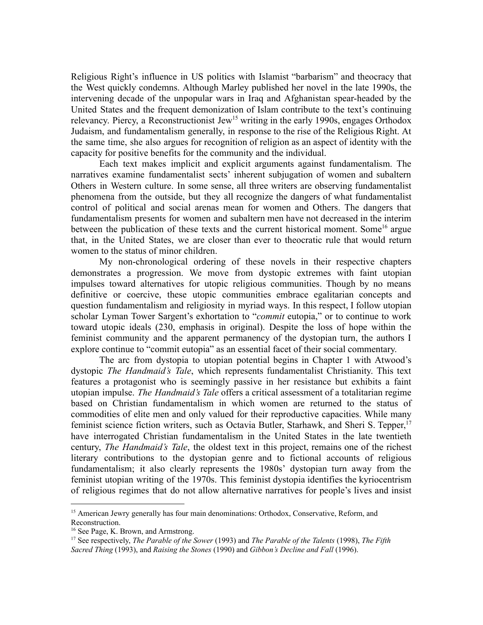Religious Right's influence in US politics with Islamist "barbarism" and theocracy that the West quickly condemns. Although Marley published her novel in the late 1990s, the intervening decade of the unpopular wars in Iraq and Afghanistan spear-headed by the United States and the frequent demonization of Islam contribute to the text's continuing relevancy. Piercy, a Reconstructionist Jew<sup>15</sup> writing in the early 1990s, engages Orthodox Judaism, and fundamentalism generally, in response to the rise of the Religious Right. At the same time, she also argues for recognition of religion as an aspect of identity with the capacity for positive benefits for the community and the individual.

Each text makes implicit and explicit arguments against fundamentalism. The narratives examine fundamentalist sects' inherent subjugation of women and subaltern Others in Western culture. In some sense, all three writers are observing fundamentalist phenomena from the outside, but they all recognize the dangers of what fundamentalist control of political and social arenas mean for women and Others. The dangers that fundamentalism presents for women and subaltern men have not decreased in the interim between the publication of these texts and the current historical moment. Some<sup>16</sup> argue that, in the United States, we are closer than ever to theocratic rule that would return women to the status of minor children.

My non-chronological ordering of these novels in their respective chapters demonstrates a progression. We move from dystopic extremes with faint utopian impulses toward alternatives for utopic religious communities. Though by no means definitive or coercive, these utopic communities embrace egalitarian concepts and question fundamentalism and religiosity in myriad ways. In this respect, I follow utopian scholar Lyman Tower Sargent's exhortation to "*commit* eutopia," or to continue to work toward utopic ideals (230, emphasis in original). Despite the loss of hope within the feminist community and the apparent permanency of the dystopian turn, the authors I explore continue to "commit eutopia" as an essential facet of their social commentary.

The arc from dystopia to utopian potential begins in Chapter 1 with Atwood's dystopic *The Handmaid's Tale*, which represents fundamentalist Christianity. This text features a protagonist who is seemingly passive in her resistance but exhibits a faint utopian impulse. *The Handmaid's Tale* offers a critical assessment of a totalitarian regime based on Christian fundamentalism in which women are returned to the status of commodities of elite men and only valued for their reproductive capacities. While many feminist science fiction writers, such as Octavia Butler, Starhawk, and Sheri S. Tepper,<sup>17</sup> have interrogated Christian fundamentalism in the United States in the late twentieth century, *The Handmaid's Tale*, the oldest text in this project, remains one of the richest literary contributions to the dystopian genre and to fictional accounts of religious fundamentalism; it also clearly represents the 1980s' dystopian turn away from the feminist utopian writing of the 1970s. This feminist dystopia identifies the kyriocentrism of religious regimes that do not allow alternative narratives for people's lives and insist

<sup>&</sup>lt;sup>15</sup> American Jewry generally has four main denominations: Orthodox, Conservative, Reform, and Reconstruction.

<sup>&</sup>lt;sup>16</sup> See Page, K. Brown, and Armstrong.

<sup>17</sup> See respectively, *The Parable of the Sower* (1993) and *The Parable of the Talents* (1998), *The Fifth Sacred Thing* (1993), and *Raising the Stones* (1990) and *Gibbon's Decline and Fall* (1996).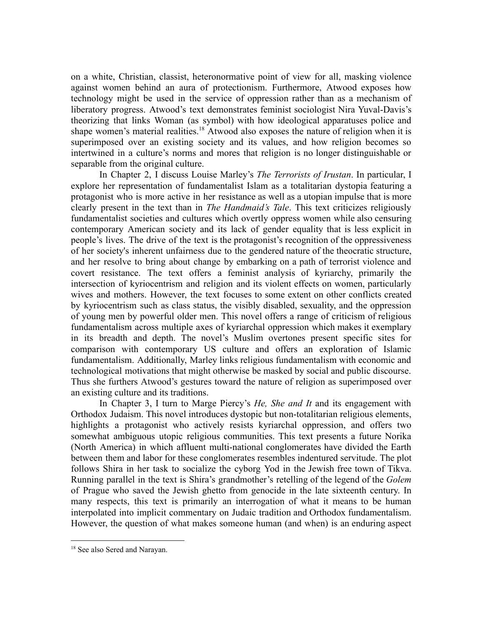on a white, Christian, classist, heteronormative point of view for all, masking violence against women behind an aura of protectionism. Furthermore, Atwood exposes how technology might be used in the service of oppression rather than as a mechanism of liberatory progress. Atwood's text demonstrates feminist sociologist Nira Yuval-Davis's theorizing that links Woman (as symbol) with how ideological apparatuses police and shape women's material realities.<sup>18</sup> Atwood also exposes the nature of religion when it is superimposed over an existing society and its values, and how religion becomes so intertwined in a culture's norms and mores that religion is no longer distinguishable or separable from the original culture.

In Chapter 2, I discuss Louise Marley's *The Terrorists of Irustan*. In particular, I explore her representation of fundamentalist Islam as a totalitarian dystopia featuring a protagonist who is more active in her resistance as well as a utopian impulse that is more clearly present in the text than in *The Handmaid's Tale*. This text criticizes religiously fundamentalist societies and cultures which overtly oppress women while also censuring contemporary American society and its lack of gender equality that is less explicit in people's lives. The drive of the text is the protagonist's recognition of the oppressiveness of her society's inherent unfairness due to the gendered nature of the theocratic structure, and her resolve to bring about change by embarking on a path of terrorist violence and covert resistance. The text offers a feminist analysis of kyriarchy, primarily the intersection of kyriocentrism and religion and its violent effects on women, particularly wives and mothers. However, the text focuses to some extent on other conflicts created by kyriocentrism such as class status, the visibly disabled, sexuality, and the oppression of young men by powerful older men. This novel offers a range of criticism of religious fundamentalism across multiple axes of kyriarchal oppression which makes it exemplary in its breadth and depth. The novel's Muslim overtones present specific sites for comparison with contemporary US culture and offers an exploration of Islamic fundamentalism. Additionally, Marley links religious fundamentalism with economic and technological motivations that might otherwise be masked by social and public discourse. Thus she furthers Atwood's gestures toward the nature of religion as superimposed over an existing culture and its traditions.

In Chapter 3, I turn to Marge Piercy's *He, She and It* and its engagement with Orthodox Judaism. This novel introduces dystopic but non-totalitarian religious elements, highlights a protagonist who actively resists kyriarchal oppression, and offers two somewhat ambiguous utopic religious communities. This text presents a future Norika (North America) in which affluent multi-national conglomerates have divided the Earth between them and labor for these conglomerates resembles indentured servitude. The plot follows Shira in her task to socialize the cyborg Yod in the Jewish free town of Tikva. Running parallel in the text is Shira's grandmother's retelling of the legend of the *Golem* of Prague who saved the Jewish ghetto from genocide in the late sixteenth century. In many respects, this text is primarily an interrogation of what it means to be human interpolated into implicit commentary on Judaic tradition and Orthodox fundamentalism. However, the question of what makes someone human (and when) is an enduring aspect

<sup>&</sup>lt;sup>18</sup> See also Sered and Narayan.